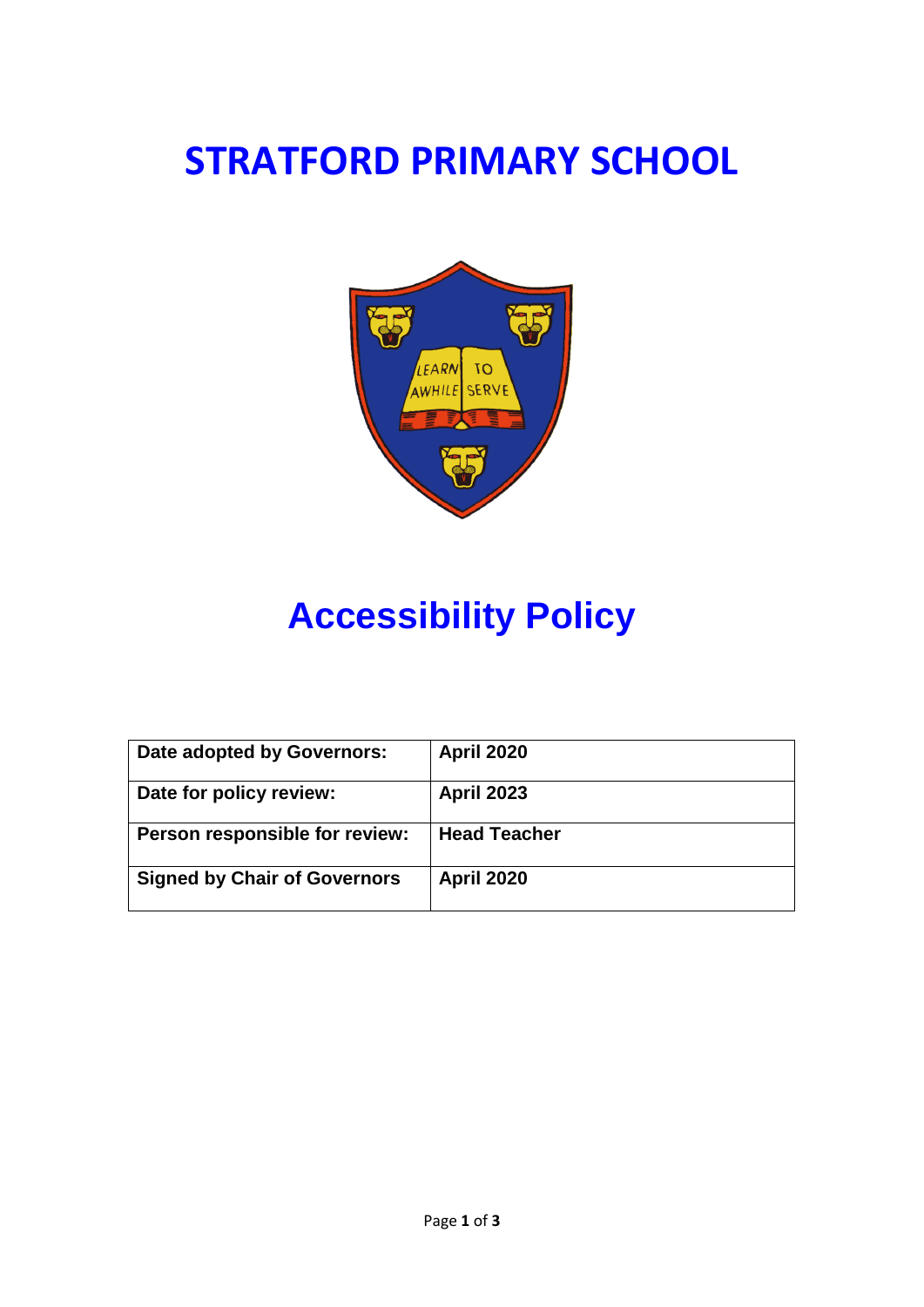## **STRATFORD PRIMARY SCHOOL**



# **Accessibility Policy**

| Date adopted by Governors:          | <b>April 2020</b>   |
|-------------------------------------|---------------------|
| Date for policy review:             | <b>April 2023</b>   |
| Person responsible for review:      | <b>Head Teacher</b> |
| <b>Signed by Chair of Governors</b> | <b>April 2020</b>   |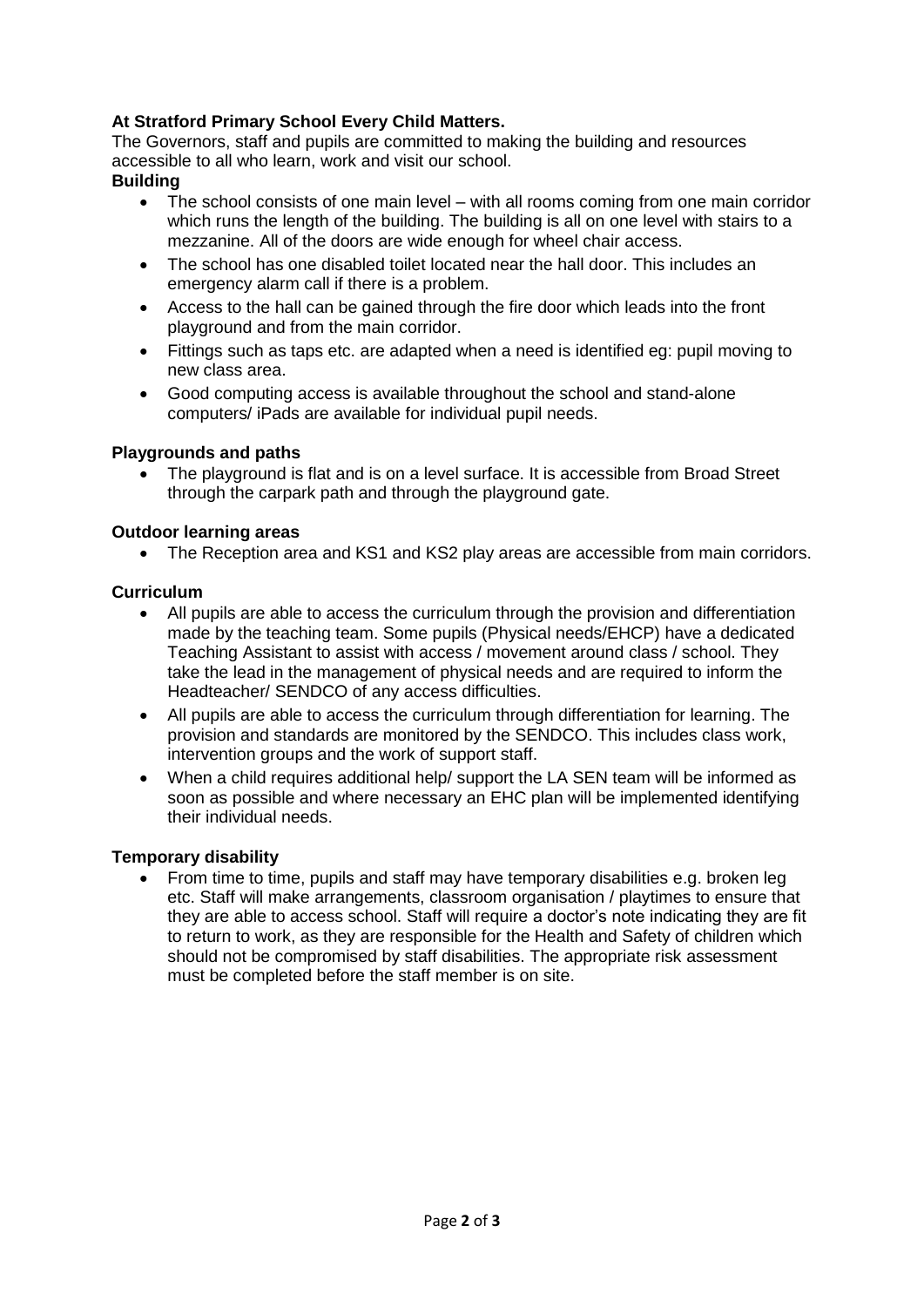## **At Stratford Primary School Every Child Matters.**

The Governors, staff and pupils are committed to making the building and resources accessible to all who learn, work and visit our school.

## **Building**

- The school consists of one main level with all rooms coming from one main corridor which runs the length of the building. The building is all on one level with stairs to a mezzanine. All of the doors are wide enough for wheel chair access.
- The school has one disabled toilet located near the hall door. This includes an emergency alarm call if there is a problem.
- Access to the hall can be gained through the fire door which leads into the front playground and from the main corridor.
- Fittings such as taps etc. are adapted when a need is identified eg: pupil moving to new class area.
- Good computing access is available throughout the school and stand-alone computers/ iPads are available for individual pupil needs.

## **Playgrounds and paths**

The playground is flat and is on a level surface. It is accessible from Broad Street through the carpark path and through the playground gate.

## **Outdoor learning areas**

• The Reception area and KS1 and KS2 play areas are accessible from main corridors.

## **Curriculum**

- All pupils are able to access the curriculum through the provision and differentiation made by the teaching team. Some pupils (Physical needs/EHCP) have a dedicated Teaching Assistant to assist with access / movement around class / school. They take the lead in the management of physical needs and are required to inform the Headteacher/ SENDCO of any access difficulties.
- All pupils are able to access the curriculum through differentiation for learning. The provision and standards are monitored by the SENDCO. This includes class work, intervention groups and the work of support staff.
- When a child requires additional help/ support the LA SEN team will be informed as soon as possible and where necessary an EHC plan will be implemented identifying their individual needs.

## **Temporary disability**

• From time to time, pupils and staff may have temporary disabilities e.g. broken leg etc. Staff will make arrangements, classroom organisation / playtimes to ensure that they are able to access school. Staff will require a doctor's note indicating they are fit to return to work, as they are responsible for the Health and Safety of children which should not be compromised by staff disabilities. The appropriate risk assessment must be completed before the staff member is on site.